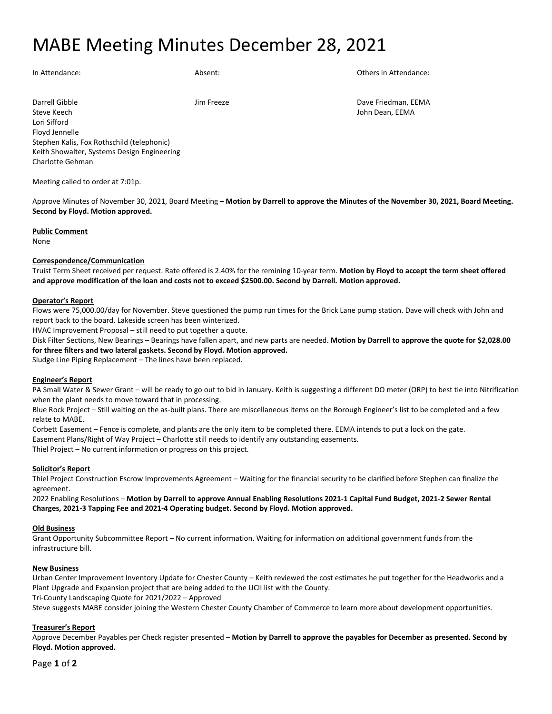## MABE Meeting Minutes December 28, 2021

In Attendance: and Absent: Absent: Absent: Others in Attendance: Others in Attendance:

Darrell Gibble **Dave Friedman, EEMA** Jim Freeze **Jim Freeze** Dave Friedman, EEMA Steve Keech John Dean, EEMA Lori Sifford Floyd Jennelle Stephen Kalis, Fox Rothschild (telephonic) Keith Showalter, Systems Design Engineering Charlotte Gehman

Meeting called to order at 7:01p.

Approve Minutes of November 30, 2021, Board Meeting **– Motion by Darrell to approve the Minutes of the November 30, 2021, Board Meeting. Second by Floyd. Motion approved.**

#### **Public Comment**

None

## **Correspondence/Communication**

Truist Term Sheet received per request. Rate offered is 2.40% for the remining 10-year term. **Motion by Floyd to accept the term sheet offered and approve modification of the loan and costs not to exceed \$2500.00. Second by Darrell. Motion approved.**

## **Operator's Report**

Flows were 75,000.00/day for November. Steve questioned the pump run times for the Brick Lane pump station. Dave will check with John and report back to the board. Lakeside screen has been winterized.

HVAC Improvement Proposal – still need to put together a quote.

Disk Filter Sections, New Bearings – Bearings have fallen apart, and new parts are needed. **Motion by Darrell to approve the quote for \$2,028.00 for three filters and two lateral gaskets. Second by Floyd. Motion approved.**

Sludge Line Piping Replacement – The lines have been replaced.

#### **Engineer's Report**

PA Small Water & Sewer Grant – will be ready to go out to bid in January. Keith is suggesting a different DO meter (ORP) to best tie into Nitrification when the plant needs to move toward that in processing.

Blue Rock Project – Still waiting on the as-built plans. There are miscellaneous items on the Borough Engineer's list to be completed and a few relate to MABE.

Corbett Easement – Fence is complete, and plants are the only item to be completed there. EEMA intends to put a lock on the gate. Easement Plans/Right of Way Project – Charlotte still needs to identify any outstanding easements.

Thiel Project – No current information or progress on this project.

#### **Solicitor's Report**

Thiel Project Construction Escrow Improvements Agreement – Waiting for the financial security to be clarified before Stephen can finalize the agreement.

2022 Enabling Resolutions – **Motion by Darrell to approve Annual Enabling Resolutions 2021-1 Capital Fund Budget, 2021-2 Sewer Rental Charges, 2021-3 Tapping Fee and 2021-4 Operating budget. Second by Floyd. Motion approved.**

#### **Old Business**

Grant Opportunity Subcommittee Report – No current information. Waiting for information on additional government funds from the infrastructure bill.

#### **New Business**

Urban Center Improvement Inventory Update for Chester County – Keith reviewed the cost estimates he put together for the Headworks and a Plant Upgrade and Expansion project that are being added to the UCII list with the County.

Tri-County Landscaping Quote for 2021/2022 – Approved

Steve suggests MABE consider joining the Western Chester County Chamber of Commerce to learn more about development opportunities.

## **Treasurer's Report**

Approve December Payables per Check register presented – **Motion by Darrell to approve the payables for December as presented. Second by Floyd. Motion approved.**